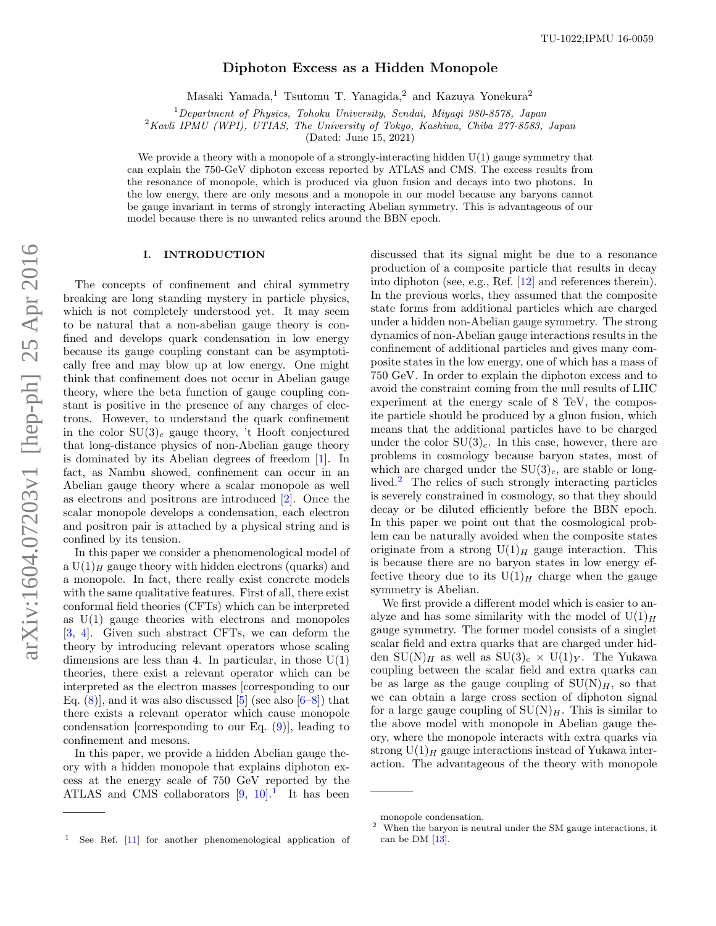## Diphoton Excess as a Hidden Monopole

Masaki Yamada,<sup>1</sup> Tsutomu T. Yanagida,<sup>2</sup> and Kazuya Yonekura<sup>2</sup>

 $1$ Department of Physics, Tohoku University, Sendai, Miyaqi 980-8578, Japan

<sup>2</sup> Kavli IPMU (WPI), UTIAS, The University of Tokyo, Kashiwa, Chiba 277-8583, Japan

(Dated: June 15, 2021)

We provide a theory with a monopole of a strongly-interacting hidden  $U(1)$  gauge symmetry that can explain the 750-GeV diphoton excess reported by ATLAS and CMS. The excess results from the resonance of monopole, which is produced via gluon fusion and decays into two photons. In the low energy, there are only mesons and a monopole in our model because any baryons cannot be gauge invariant in terms of strongly interacting Abelian symmetry. This is advantageous of our model because there is no unwanted relics around the BBN epoch.

### I. INTRODUCTION

The concepts of confinement and chiral symmetry breaking are long standing mystery in particle physics, which is not completely understood yet. It may seem to be natural that a non-abelian gauge theory is confined and develops quark condensation in low energy because its gauge coupling constant can be asymptotically free and may blow up at low energy. One might think that confinement does not occur in Abelian gauge theory, where the beta function of gauge coupling constant is positive in the presence of any charges of electrons. However, to understand the quark confinement in the color  $SU(3)<sub>c</sub>$  gauge theory, 't Hooft conjectured that long-distance physics of non-Abelian gauge theory is dominated by its Abelian degrees of freedom [\[1\]](#page-4-0). In fact, as Nambu showed, confinement can occur in an Abelian gauge theory where a scalar monopole as well as electrons and positrons are introduced [\[2\]](#page-4-1). Once the scalar monopole develops a condensation, each electron and positron pair is attached by a physical string and is confined by its tension.

In this paper we consider a phenomenological model of a  $U(1)_H$  gauge theory with hidden electrons (quarks) and a monopole. In fact, there really exist concrete models with the same qualitative features. First of all, there exist conformal field theories (CFTs) which can be interpreted as  $U(1)$  gauge theories with electrons and monopoles [\[3,](#page-5-0) [4\]](#page-5-1). Given such abstract CFTs, we can deform the theory by introducing relevant operators whose scaling dimensions are less than 4. In particular, in those  $U(1)$ theories, there exist a relevant operator which can be interpreted as the electron masses [corresponding to our Eq.  $(8)$ , and it was also discussed [\[5\]](#page-5-2) (see also  $[6-8]$ ) that there exists a relevant operator which cause monopole condensation [corresponding to our Eq.  $(9)$ ], leading to confinement and mesons.

In this paper, we provide a hidden Abelian gauge theory with a hidden monopole that explains diphoton excess at the energy scale of 750 GeV reported by the ATLAS and CMS collaborators  $[9, 10]$  $[9, 10]$ .<sup>[1](#page-0-0)</sup> It has been

We first provide a different model which is easier to analyze and has some similarity with the model of  $U(1)_H$ gauge symmetry. The former model consists of a singlet scalar field and extra quarks that are charged under hidden SU(N)<sub>H</sub> as well as SU(3)<sub>c</sub>  $\times$  U(1)<sub>Y</sub>. The Yukawa coupling between the scalar field and extra quarks can be as large as the gauge coupling of  $SU(N)_H$ , so that we can obtain a large cross section of diphoton signal for a large gauge coupling of  $SU(N)_H$ . This is similar to the above model with monopole in Abelian gauge theory, where the monopole interacts with extra quarks via strong  $U(1)_H$  gauge interactions instead of Yukawa interaction. The advantageous of the theory with monopole

discussed that its signal might be due to a resonance production of a composite particle that results in decay into diphoton (see, e.g., Ref. [\[12\]](#page-5-8) and references therein). In the previous works, they assumed that the composite state forms from additional particles which are charged under a hidden non-Abelian gauge symmetry. The strong dynamics of non-Abelian gauge interactions results in the confinement of additional particles and gives many composite states in the low energy, one of which has a mass of 750 GeV. In order to explain the diphoton excess and to avoid the constraint coming from the null results of LHC experiment at the energy scale of 8 TeV, the composite particle should be produced by a gluon fusion, which means that the additional particles have to be charged under the color  $SU(3)<sub>c</sub>$ . In this case, however, there are problems in cosmology because baryon states, most of which are charged under the  $SU(3)_c$ , are stable or long-lived.<sup>[2](#page-0-1)</sup> The relics of such strongly interacting particles is severely constrained in cosmology, so that they should decay or be diluted efficiently before the BBN epoch. In this paper we point out that the cosmological problem can be naturally avoided when the composite states originate from a strong  $U(1)_H$  gauge interaction. This is because there are no baryon states in low energy effective theory due to its  $U(1)_H$  charge when the gauge symmetry is Abelian.

monopole condensation.

<span id="page-0-1"></span><sup>&</sup>lt;sup>2</sup> When the baryon is neutral under the SM gauge interactions, it can be DM [\[13\]](#page-5-9).

<span id="page-0-0"></span>See Ref. [\[11\]](#page-5-7) for another phenomenological application of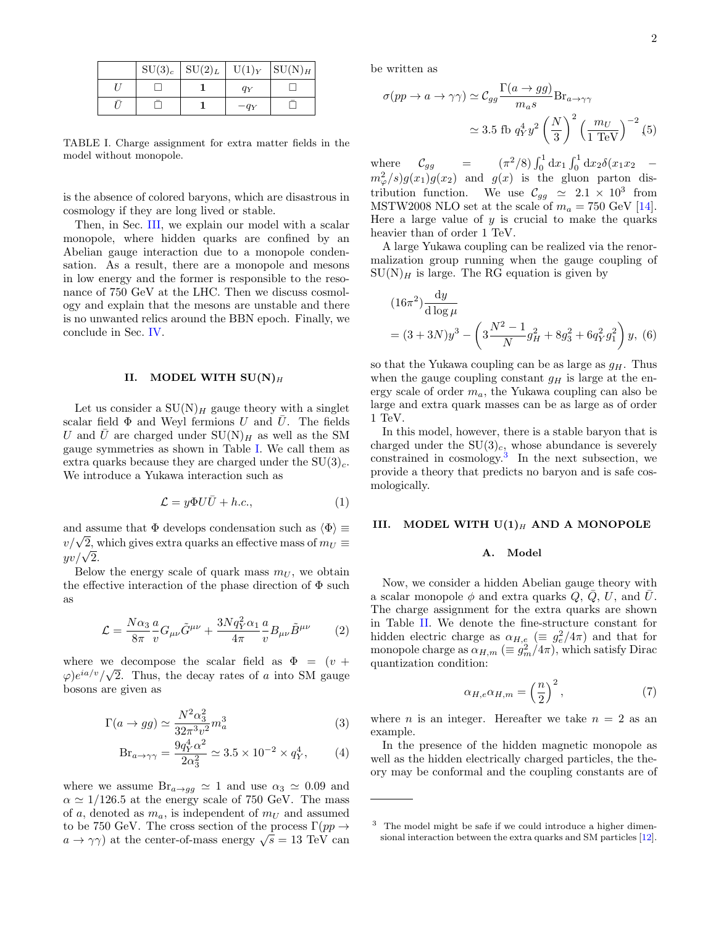|  | $SU(3)_c$ $SU(2)_L$ $U(1)_Y$ $SU(N)_H$ |        |  |
|--|----------------------------------------|--------|--|
|  |                                        | $q_Y$  |  |
|  |                                        | $-q_Y$ |  |

<span id="page-1-1"></span>TABLE I. Charge assignment for extra matter fields in the model without monopole.

is the absence of colored baryons, which are disastrous in cosmology if they are long lived or stable.

Then, in Sec. [III,](#page-1-0) we explain our model with a scalar monopole, where hidden quarks are confined by an Abelian gauge interaction due to a monopole condensation. As a result, there are a monopole and mesons in low energy and the former is responsible to the resonance of 750 GeV at the LHC. Then we discuss cosmology and explain that the mesons are unstable and there is no unwanted relics around the BBN epoch. Finally, we conclude in Sec. [IV.](#page-4-2)

### II. MODEL WITH  $SU(N)_H$

Let us consider a  $SU(N)_H$  gauge theory with a singlet scalar field  $\Phi$  and Weyl fermions U and U. The fields U and U are charged under  $SU(N)_H$  as well as the SM gauge symmetries as shown in Table [I.](#page-1-1) We call them as extra quarks because they are charged under the  $SU(3)<sub>c</sub>$ . We introduce a Yukawa interaction such as

$$
\mathcal{L} = y\Phi U\bar{U} + h.c.,\tag{1}
$$

and assume that  $\Phi$  develops condensation such as  $\langle \Phi \rangle \equiv$ and assume that  $\Psi$  develops condensation such as  $\Psi = v/\sqrt{2}$ , which gives extra quarks an effective mass of  $m_U \equiv$  $v/\sqrt{2}$ , v<br>yv/ $\sqrt{2}$ .

Below the energy scale of quark mass  $m_U$ , we obtain the effective interaction of the phase direction of  $\Phi$  such as

$$
\mathcal{L} = \frac{N\alpha_3}{8\pi} \frac{a}{v} G_{\mu\nu} \tilde{G}^{\mu\nu} + \frac{3Nq_Y^2 \alpha_1}{4\pi} \frac{a}{v} B_{\mu\nu} \tilde{B}^{\mu\nu} \qquad (2)
$$

where we decompose the scalar field as  $\Phi = (v + \epsilon)$  $\varphi)e^{ia/v}/\sqrt{2}$ . Thus, the decay rates of a into SM gauge bosons are given as

$$
\Gamma(a \to gg) \simeq \frac{N^2 \alpha_3^2}{32\pi^3 v^2} m_a^3 \tag{3}
$$

$$
Br_{a\to\gamma\gamma} = \frac{9q_Y^4 \alpha^2}{2\alpha_3^2} \simeq 3.5 \times 10^{-2} \times q_Y^4,\tag{4}
$$

where we assume  $\text{Br}_{a\to gg} \simeq 1$  and use  $\alpha_3 \simeq 0.09$  and  $\alpha \simeq 1/126.5$  at the energy scale of 750 GeV. The mass of a, denoted as  $m_a$ , is independent of  $m_U$  and assumed to be 750 GeV. The cross section of the process  $\Gamma(pp \to$ to be *(*30 GeV. The cross section of the process 1 ( $pp \rightarrow a \rightarrow \gamma \gamma$ ) at the center-of-mass energy  $\sqrt{s} = 13$  TeV can be written as

$$
\sigma(pp \to a \to \gamma\gamma) \simeq \mathcal{C}_{gg} \frac{\Gamma(a \to gg)}{m_a s} \text{Br}_{a \to \gamma\gamma}
$$

$$
\simeq 3.5 \text{ fb } q_Y^4 y^2 \left(\frac{N}{3}\right)^2 \left(\frac{m_U}{1 \text{ TeV}}\right)^{-2} (5)
$$

where  $C_{gg} = (\pi^2/8) \int_0^1 dx_1 \int_0^1 dx_2 \delta(x_1 x_2$  $m_\varphi^2/s$ )g(x<sub>1</sub>)g(x<sub>2</sub>) and g(x) is the gluon parton distribution function. We use  $\mathcal{C}_{gg} \simeq 2.1 \times 10^3$  from MSTW2008 NLO set at the scale of  $m_a = 750$  GeV [\[14\]](#page-5-10). Here a large value of  $y$  is crucial to make the quarks heavier than of order 1 TeV.

A large Yukawa coupling can be realized via the renormalization group running when the gauge coupling of  $SU(N)_H$  is large. The RG equation is given by

$$
(16\pi^2) \frac{dy}{d \log \mu}
$$
  
=  $(3+3N)y^3 - \left(3\frac{N^2 - 1}{N}g_H^2 + 8g_3^2 + 6q_Y^2g_1^2\right)y$ , (6)

so that the Yukawa coupling can be as large as  $g_H$ . Thus when the gauge coupling constant  $g_H$  is large at the energy scale of order  $m_a$ , the Yukawa coupling can also be large and extra quark masses can be as large as of order 1 TeV.

In this model, however, there is a stable baryon that is charged under the  $SU(3)<sub>c</sub>$ , whose abundance is severely constrained in cosmology.[3](#page-1-2) In the next subsection, we provide a theory that predicts no baryon and is safe cosmologically.

## <span id="page-1-0"></span>III. MODEL WITH  $U(1)_H$  AND A MONOPOLE

# A. Model

Now, we consider a hidden Abelian gauge theory with a scalar monopole  $\phi$  and extra quarks  $Q, \bar{Q}, U$ , and  $\bar{U}$ . The charge assignment for the extra quarks are shown in Table [II.](#page-2-2) We denote the fine-structure constant for hidden electric charge as  $\alpha_{H,g}$  ( $\equiv g_e^2/4\pi$ ) and that for monopole charge as  $\alpha_{H,m}$  ( $\equiv g_m^2/4\pi$ ), which satisfy Dirac quantization condition:

$$
\alpha_{H,e}\alpha_{H,m} = \left(\frac{n}{2}\right)^2,\tag{7}
$$

where *n* is an integer. Hereafter we take  $n = 2$  as an example.

In the presence of the hidden magnetic monopole as well as the hidden electrically charged particles, the theory may be conformal and the coupling constants are of

<span id="page-1-2"></span><sup>3</sup> The model might be safe if we could introduce a higher dimensional interaction between the extra quarks and SM particles [\[12\]](#page-5-8).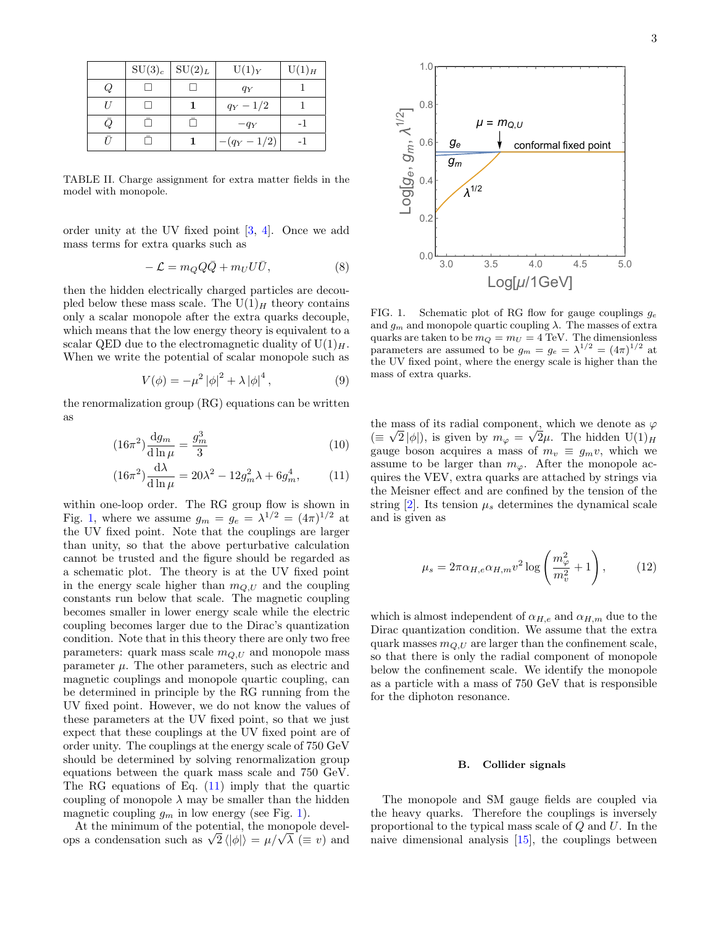|  | $SU(3)_c$ | $\vert SU(2)_L \vert$ | $U(1)_{Y}$   | $U(1)$ <sub>H</sub> |
|--|-----------|-----------------------|--------------|---------------------|
|  |           |                       | $q_Y$        |                     |
|  |           |                       | $q_Y - 1/2$  |                     |
|  |           |                       | $-q_Y$       |                     |
|  |           |                       | $-(q_Y-1/2)$ |                     |

<span id="page-2-2"></span>TABLE II. Charge assignment for extra matter fields in the model with monopole.

order unity at the UV fixed point [\[3,](#page-5-0) [4\]](#page-5-1). Once we add mass terms for extra quarks such as

<span id="page-2-0"></span>
$$
-\mathcal{L} = m_Q Q \bar{Q} + m_U U \bar{U},\tag{8}
$$

then the hidden electrically charged particles are decoupled below these mass scale. The  $U(1)_H$  theory contains only a scalar monopole after the extra quarks decouple, which means that the low energy theory is equivalent to a scalar QED due to the electromagnetic duality of  $U(1)_H$ . When we write the potential of scalar monopole such as

<span id="page-2-1"></span>
$$
V(\phi) = -\mu^2 |\phi|^2 + \lambda |\phi|^4, \qquad (9)
$$

the renormalization group (RG) equations can be written as

$$
(16\pi^2)\frac{\mathrm{d}g_m}{\mathrm{d}\ln\mu} = \frac{g_m^3}{3} \tag{10}
$$

<span id="page-2-4"></span>
$$
(16\pi^2)\frac{\mathrm{d}\lambda}{\mathrm{d}\ln\mu} = 20\lambda^2 - 12g_m^2\lambda + 6g_m^4, \qquad (11)
$$

within one-loop order. The RG group flow is shown in Fig. [1,](#page-2-3) where we assume  $g_m = g_e = \lambda^{1/2} = (4\pi)^{1/2}$  at the UV fixed point. Note that the couplings are larger than unity, so that the above perturbative calculation cannot be trusted and the figure should be regarded as a schematic plot. The theory is at the UV fixed point in the energy scale higher than  $m_{Q,U}$  and the coupling constants run below that scale. The magnetic coupling becomes smaller in lower energy scale while the electric coupling becomes larger due to the Dirac's quantization condition. Note that in this theory there are only two free parameters: quark mass scale  $m_{Q,U}$  and monopole mass parameter  $\mu$ . The other parameters, such as electric and magnetic couplings and monopole quartic coupling, can be determined in principle by the RG running from the UV fixed point. However, we do not know the values of these parameters at the UV fixed point, so that we just expect that these couplings at the UV fixed point are of order unity. The couplings at the energy scale of 750 GeV should be determined by solving renormalization group equations between the quark mass scale and 750 GeV. The RG equations of Eq.  $(11)$  imply that the quartic coupling of monopole  $\lambda$  may be smaller than the hidden magnetic coupling  $g_m$  in low energy (see Fig. [1\)](#page-2-3).

At the minimum of the potential, the monopole devel-At the minimum of the potential, the monopole develops a condensation such as  $\sqrt{2} \langle |\phi| \rangle = \mu / \sqrt{\lambda} \; (\equiv v)$  and



<span id="page-2-3"></span>FIG. 1. Schematic plot of RG flow for gauge couplings  $g_e$ and  $g_m$  and monopole quartic coupling  $\lambda$ . The masses of extra quarks are taken to be  $m_Q = m_U = 4$  TeV. The dimensionless parameters are assumed to be  $g_m = g_e = \lambda^{1/2} = (4\pi)^{1/2}$  at the UV fixed point, where the energy scale is higher than the mass of extra quarks.

the mass of its radial component, which we denote as  $\varphi$  $(\equiv \sqrt{2}|\phi|)$ , is given by  $m_{\varphi} = \sqrt{2\mu}$ . The hidden  $U(1)_{H}$ gauge boson acquires a mass of  $m_v \equiv g_m v$ , which we assume to be larger than  $m_{\varphi}$ . After the monopole acquires the VEV, extra quarks are attached by strings via the Meisner effect and are confined by the tension of the string  $[2]$ . Its tension  $\mu_s$  determines the dynamical scale and is given as

$$
\mu_s = 2\pi\alpha_{H,e}\alpha_{H,m}v^2\log\left(\frac{m_\varphi^2}{m_v^2} + 1\right),\tag{12}
$$

which is almost independent of  $\alpha_{H,e}$  and  $\alpha_{H,m}$  due to the Dirac quantization condition. We assume that the extra quark masses  $m_{Q,U}$  are larger than the confinement scale, so that there is only the radial component of monopole below the confinement scale. We identify the monopole as a particle with a mass of 750 GeV that is responsible for the diphoton resonance.

### <span id="page-2-5"></span>B. Collider signals

The monopole and SM gauge fields are coupled via the heavy quarks. Therefore the couplings is inversely proportional to the typical mass scale of Q and U. In the naive dimensional analysis [\[15\]](#page-5-11), the couplings between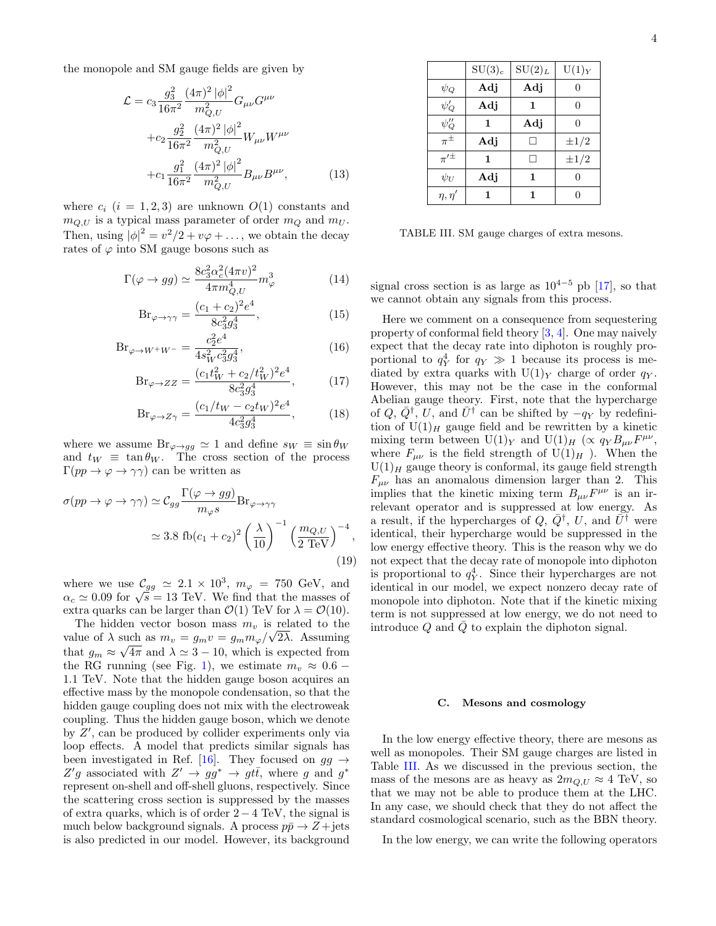the monopole and SM gauge fields are given by

$$
\mathcal{L} = c_3 \frac{g_3^2}{16\pi^2} \frac{(4\pi)^2 |\phi|^2}{m_{Q,U}^2} G_{\mu\nu} G^{\mu\nu} \n+ c_2 \frac{g_2^2}{16\pi^2} \frac{(4\pi)^2 |\phi|^2}{m_{Q,U}^2} W_{\mu\nu} W^{\mu\nu} \n+ c_1 \frac{g_1^2}{16\pi^2} \frac{(4\pi)^2 |\phi|^2}{m_{Q,U}^2} B_{\mu\nu} B^{\mu\nu},
$$
\n(13)

where  $c_i$   $(i = 1, 2, 3)$  are unknown  $O(1)$  constants and  $m_{Q,U}$  is a typical mass parameter of order  $m_Q$  and  $m_U$ . Then, using  $|\phi|^2 = v^2/2 + v\varphi + \dots$ , we obtain the decay rates of  $\varphi$  into SM gauge bosons such as

$$
\Gamma(\varphi \to gg) \simeq \frac{8c_3^2 \alpha_c^2 (4\pi v)^2}{4\pi m_{Q,U}^4} m_\varphi^3 \tag{14}
$$

$$
Br_{\varphi \to \gamma \gamma} = \frac{(c_1 + c_2)^2 e^4}{8c_3^2 g_3^4},
$$
\n(15)

$$
Br_{\varphi \to W^+W^-} = \frac{c_2^2 e^4}{4s_W^2 c_3^2 g_3^4},\tag{16}
$$

$$
Br_{\varphi \to ZZ} = \frac{(c_1 t_W^2 + c_2/t_W^2)^2 e^4}{8c_3^2 g_3^4},\tag{17}
$$

$$
Br_{\varphi \to Z\gamma} = \frac{(c_1/t_W - c_2 t_W)^2 e^4}{4c_3^2 g_3^4},\tag{18}
$$

where we assume  $\text{Br}_{\varphi \to gg} \simeq 1$  and define  $s_W \equiv \sin \theta_W$ and  $t_W \equiv \tan \theta_W$ . The cross section of the process  $\Gamma(pp \to \varphi \to \gamma\gamma)$  can be written as

$$
\sigma(pp \to \varphi \to \gamma\gamma) \simeq C_{gg} \frac{\Gamma(\varphi \to gg)}{m_{\varphi}s} \text{Br}_{\varphi \to \gamma\gamma}
$$
  

$$
\simeq 3.8 \text{ fb}(c_1 + c_2)^2 \left(\frac{\lambda}{10}\right)^{-1} \left(\frac{m_{Q,U}}{2 \text{ TeV}}\right)^{-4},\tag{19}
$$

where we use  $\mathcal{C}_{gg} \simeq 2.1 \times 10^3$ ,  $m_{\varphi} = 750$  GeV, and  $\alpha_c \simeq 0.09$  for  $\sqrt{s} = 13$  TeV. We find that the masses of extra quarks can be larger than  $\mathcal{O}(1)$  TeV for  $\lambda = \mathcal{O}(10)$ .

The hidden vector boson mass  $m_v$  is related to the value of  $\lambda$  such as  $m_v = g_m v = g_m m_\varphi / \sqrt{2\lambda}$ . Assuming that  $g_m \approx \sqrt{4\pi}$  and  $\lambda \simeq 3 - 10$ , which is expected from the RG running (see Fig. [1\)](#page-2-3), we estimate  $m_v \approx 0.6$  – 1.1 TeV. Note that the hidden gauge boson acquires an effective mass by the monopole condensation, so that the hidden gauge coupling does not mix with the electroweak coupling. Thus the hidden gauge boson, which we denote by  $Z'$ , can be produced by collider experiments only via loop effects. A model that predicts similar signals has been investigated in Ref. [\[16\]](#page-5-12). They focused on  $gg \rightarrow$ Z'g associated with  $Z' \rightarrow gg^* \rightarrow gt\bar{t}$ , where g and g<sup>\*</sup> represent on-shell and off-shell gluons, respectively. Since the scattering cross section is suppressed by the masses of extra quarks, which is of order  $2 - 4$  TeV, the signal is much below background signals. A process  $p\bar{p} \to Z + \text{jets}$ is also predicted in our model. However, its background

|                              | $SU(3)_c$ | $SU(2)_L$ | $U(1)_{Y}$ |
|------------------------------|-----------|-----------|------------|
| $\psi_Q$                     | Adj       | Adj       | 0          |
| $\overline{\psi_Q'}$         | Adj       | 1         | $\Omega$   |
| $\frac{\psi''_Q}{\pi^{\pm}}$ | 1         | Adj       | $\Omega$   |
|                              | Adj       |           | $\pm 1/2$  |
| $\pi^{\prime \pm}$           | 1         |           | $\pm 1/2$  |
| $\psi_U$                     | Adj       | 1         | 0          |
| $\eta, \eta'$                |           |           | 0          |

<span id="page-3-0"></span>TABLE III. SM gauge charges of extra mesons.

signal cross section is as large as  $10^{4-5}$  pb [\[17\]](#page-5-13), so that we cannot obtain any signals from this process.

Here we comment on a consequence from sequestering property of conformal field theory [\[3,](#page-5-0) [4\]](#page-5-1). One may naively expect that the decay rate into diphoton is roughly proportional to  $q_Y^4$  for  $q_Y \gg 1$  because its process is mediated by extra quarks with  $U(1)_Y$  charge of order  $q_Y$ . However, this may not be the case in the conformal Abelian gauge theory. First, note that the hypercharge of Q,  $\overline{Q}^{\dagger}$ , U, and  $\overline{U}^{\dagger}$  can be shifted by  $-q_Y$  by redefinition of  $U(1)_H$  gauge field and be rewritten by a kinetic mixing term between  $U(1)_Y$  and  $U(1)_H$  ( $\propto q_Y B_{\mu\nu} F^{\mu\nu}$ , where  $F_{\mu\nu}$  is the field strength of  $U(1)_H$ ). When the  $U(1)<sub>H</sub>$  gauge theory is conformal, its gauge field strength  $F_{\mu\nu}$  has an anomalous dimension larger than 2. This implies that the kinetic mixing term  $B_{\mu\nu}F^{\mu\nu}$  is an irrelevant operator and is suppressed at low energy. As a result, if the hypercharges of  $Q, \bar{Q}^{\dagger}, U$ , and  $\tilde{U}^{\dagger}$  were identical, their hypercharge would be suppressed in the low energy effective theory. This is the reason why we do not expect that the decay rate of monopole into diphoton is proportional to  $q_Y^4$ . Since their hypercharges are not identical in our model, we expect nonzero decay rate of monopole into diphoton. Note that if the kinetic mixing term is not suppressed at low energy, we do not need to introduce  $Q$  and  $\overline{Q}$  to explain the diphoton signal.

### C. Mesons and cosmology

In the low energy effective theory, there are mesons as well as monopoles. Their SM gauge charges are listed in Table [III.](#page-3-0) As we discussed in the previous section, the mass of the mesons are as heavy as  $2m_{Q,U} \approx 4 \text{ TeV}$ , so that we may not be able to produce them at the LHC. In any case, we should check that they do not affect the standard cosmological scenario, such as the BBN theory.

In the low energy, we can write the following operators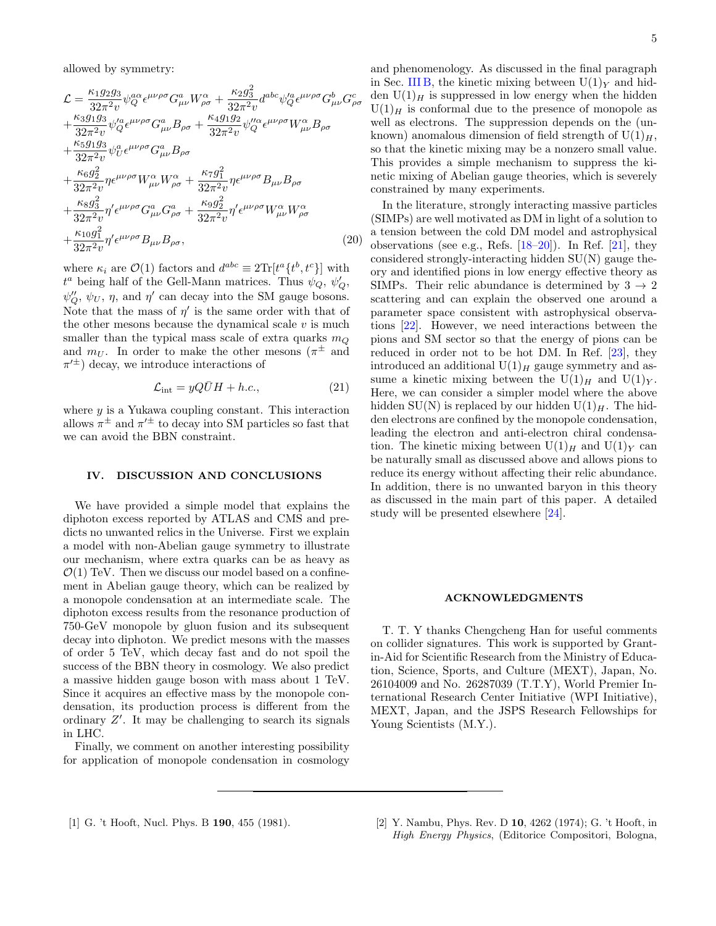allowed by symmetry:

$$
\mathcal{L} = \frac{\kappa_1 g_2 g_3}{32\pi^2 v} \psi_Q^{\alpha\alpha} \epsilon^{\mu\nu\rho\sigma} G^a_{\mu\nu} W^{\alpha}_{\rho\sigma} + \frac{\kappa_2 g_3^2}{32\pi^2 v} d^{abc} \psi_Q^{\prime a} \epsilon^{\mu\nu\rho\sigma} G^b_{\mu\nu} G^c_{\rho\sigma} \n+ \frac{\kappa_3 g_1 g_3}{32\pi^2 v} \psi_Q^{\prime a} \epsilon^{\mu\nu\rho\sigma} G^a_{\mu\nu} B_{\rho\sigma} + \frac{\kappa_4 g_1 g_2}{32\pi^2 v} \psi_Q^{\prime\prime a} \epsilon^{\mu\nu\rho\sigma} W^{\alpha}_{\mu\nu} B_{\rho\sigma} \n+ \frac{\kappa_5 g_1 g_3}{32\pi^2 v} \psi_U^a \epsilon^{\mu\nu\rho\sigma} G^a_{\mu\nu} B_{\rho\sigma} \n+ \frac{\kappa_6 g_2^2}{32\pi^2 v} \eta \epsilon^{\mu\nu\rho\sigma} W^{\alpha}_{\mu\nu} W^{\alpha}_{\rho\sigma} + \frac{\kappa_7 g_1^2}{32\pi^2 v} \eta \epsilon^{\mu\nu\rho\sigma} B_{\mu\nu} B_{\rho\sigma} \n+ \frac{\kappa_8 g_3^2}{32\pi^2 v} \eta' \epsilon^{\mu\nu\rho\sigma} G^a_{\mu\nu} G^a_{\rho\sigma} + \frac{\kappa_9 g_2^2}{32\pi^2 v} \eta' \epsilon^{\mu\nu\rho\sigma} W^{\alpha}_{\mu\nu} W^{\alpha}_{\rho\sigma} \n+ \frac{\kappa_{10} g_1^2}{32\pi^2 v} \eta' \epsilon^{\mu\nu\rho\sigma} B_{\mu\nu} B_{\rho\sigma},
$$
\n(20)

where  $\kappa_i$  are  $\mathcal{O}(1)$  factors and  $d^{abc} \equiv 2\text{Tr}[t^a\{t^b, t^c\}]$  with  $t^a$  being half of the Gell-Mann matrices. Thus  $\psi_Q$ ,  $\psi_Q'$ ,  $\psi_Q'', \psi_U, \eta$ , and  $\eta'$  can decay into the SM gauge bosons. Note that the mass of  $\eta'$  is the same order with that of the other mesons because the dynamical scale  $v$  is much smaller than the typical mass scale of extra quarks  $m<sub>O</sub>$ and  $m_U$ . In order to make the other mesons  $(\pi^{\pm}$  and  $\pi'^{\pm}$ ) decay, we introduce interactions of

$$
\mathcal{L}_{\text{int}} = yQ\bar{U}H + h.c.,\tag{21}
$$

where  $y$  is a Yukawa coupling constant. This interaction allows  $\pi^{\pm}$  and  $\pi'^{\pm}$  to decay into SM particles so fast that we can avoid the BBN constraint.

## <span id="page-4-2"></span>IV. DISCUSSION AND CONCLUSIONS

We have provided a simple model that explains the diphoton excess reported by ATLAS and CMS and predicts no unwanted relics in the Universe. First we explain a model with non-Abelian gauge symmetry to illustrate our mechanism, where extra quarks can be as heavy as  $\mathcal{O}(1)$  TeV. Then we discuss our model based on a confinement in Abelian gauge theory, which can be realized by a monopole condensation at an intermediate scale. The diphoton excess results from the resonance production of 750-GeV monopole by gluon fusion and its subsequent decay into diphoton. We predict mesons with the masses of order 5 TeV, which decay fast and do not spoil the success of the BBN theory in cosmology. We also predict a massive hidden gauge boson with mass about 1 TeV. Since it acquires an effective mass by the monopole condensation, its production process is different from the ordinary  $Z'$ . It may be challenging to search its signals in LHC.

Finally, we comment on another interesting possibility for application of monopole condensation in cosmology

and phenomenology. As discussed in the final paragraph in Sec. [III B,](#page-2-5) the kinetic mixing between  $U(1)_Y$  and hidden  $U(1)_H$  is suppressed in low energy when the hidden  $U(1)<sub>H</sub>$  is conformal due to the presence of monopole as well as electrons. The suppression depends on the (unknown) anomalous dimension of field strength of  $U(1)_H$ , so that the kinetic mixing may be a nonzero small value. This provides a simple mechanism to suppress the kinetic mixing of Abelian gauge theories, which is severely constrained by many experiments.

In the literature, strongly interacting massive particles (SIMPs) are well motivated as DM in light of a solution to a tension between the cold DM model and astrophysical observations (see e.g., Refs. [\[18](#page-5-14)[–20\]](#page-5-15)). In Ref. [\[21\]](#page-5-16), they considered strongly-interacting hidden SU(N) gauge theory and identified pions in low energy effective theory as SIMPs. Their relic abundance is determined by  $3 \rightarrow 2$ scattering and can explain the observed one around a parameter space consistent with astrophysical observations [\[22\]](#page-5-17). However, we need interactions between the pions and SM sector so that the energy of pions can be reduced in order not to be hot DM. In Ref. [\[23\]](#page-5-18), they introduced an additional  $U(1)_H$  gauge symmetry and assume a kinetic mixing between the  $U(1)_H$  and  $U(1)_Y$ . Here, we can consider a simpler model where the above hidden SU(N) is replaced by our hidden U(1) $_H$ . The hidden electrons are confined by the monopole condensation, leading the electron and anti-electron chiral condensation. The kinetic mixing between  $U(1)_H$  and  $U(1)_Y$  can be naturally small as discussed above and allows pions to reduce its energy without affecting their relic abundance. In addition, there is no unwanted baryon in this theory as discussed in the main part of this paper. A detailed study will be presented elsewhere [\[24\]](#page-5-19).

#### ACKNOWLEDGMENTS

<span id="page-4-1"></span>T. T. Y thanks Chengcheng Han for useful comments on collider signatures. This work is supported by Grantin-Aid for Scientific Research from the Ministry of Education, Science, Sports, and Culture (MEXT), Japan, No. 26104009 and No. 26287039 (T.T.Y), World Premier International Research Center Initiative (WPI Initiative), MEXT, Japan, and the JSPS Research Fellowships for Young Scientists  $(M.Y.)$ .

<span id="page-4-0"></span>[1] G. 't Hooft, Nucl. Phys. B 190, 455 (1981). [2] Y. Nambu, Phys. Rev. D 10, 4262 (1974); G. 't Hooft, in High Energy Physics, (Editorice Compositori, Bologna,